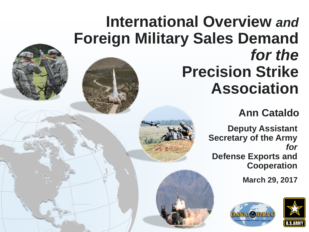### **Deputy Assistant Secretary of the Army**  *for*  **Defense Exports and Cooperation**

# **International Overview** *and* **Foreign Military Sales Demand** for the **Precision Strike Association**

**March 29, 2017**







### **Ann Cataldo**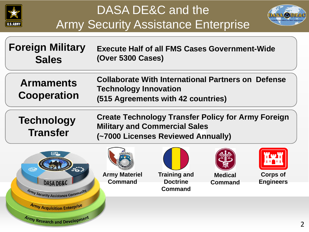

# DASA DE&C and the Army Security Assistance Enterprise

**Technology Transfer**

### **Foreign Military Sales**

**Armaments Cooperation**

**Collaborate With International Partners on Defense Technology Innovation (515 Agreements with 42 countries)**

# **Create Technology Transfer Policy for Army Foreign**

**Military and Commercial Sales (~7000 Licenses Reviewed Annually)**





**Execute Half of all FMS Cases Government-Wide (Over 5300 Cases)**





**Corps of Engineers**

**Army Materiel Command**





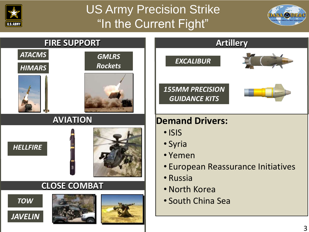

## US Army Precision Strike "In the Current Fight"

# • South China Sea









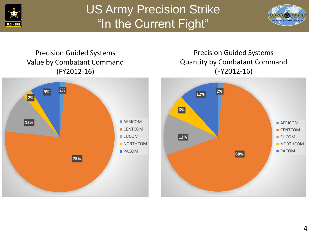

# US Army Precision Strike "In the Current Fight"



![](_page_3_Picture_6.jpeg)

### Precision Guided Systems Value by Combatant Command (FY2012-16)

### Precision Guided Systems Quantity by Combatant Command (FY2012-16)